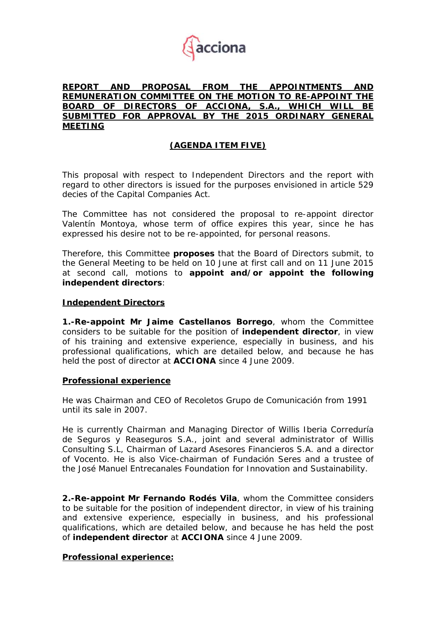

## **REPORT AND PROPOSAL FROM THE APPOINTMENTS AND REMUNERATION COMMITTEE ON THE MOTION TO RE-APPOINT THE BOARD OF DIRECTORS OF ACCIONA, S.A., WHICH WILL BE SUBMITTED FOR APPROVAL BY THE 2015 ORDINARY GENERAL MEETING**

# **(AGENDA ITEM FIVE)**

This proposal with respect to Independent Directors and the report with regard to other directors is issued for the purposes envisioned in article 529 decies of the Capital Companies Act.

The Committee has not considered the proposal to re-appoint director Valentín Montoya, whose term of office expires this year, since he has expressed his desire not to be re-appointed, for personal reasons.

Therefore, this Committee **proposes** that the Board of Directors submit, to the General Meeting to be held on 10 June at first call and on 11 June 2015 at second call, motions to **appoint and/or appoint the following independent directors**:

#### **Independent Directors**

**1.-Re-appoint Mr Jaime Castellanos Borrego**, whom the Committee considers to be suitable for the position of **independent director**, in view of his training and extensive experience, especially in business, and his professional qualifications, which are detailed below, and because he has held the post of director at **ACCIONA** since 4 June 2009.

#### **Professional experience**

He was Chairman and CEO of Recoletos Grupo de Comunicación from 1991 until its sale in 2007.

He is currently Chairman and Managing Director of Willis Iberia Correduría de Seguros y Reaseguros S.A., joint and several administrator of Willis Consulting S.L, Chairman of Lazard Asesores Financieros S.A. and a director of Vocento. He is also Vice-chairman of Fundación Seres and a trustee of the José Manuel Entrecanales Foundation for Innovation and Sustainability.

**2.-Re-appoint Mr Fernando Rodés Vila**, whom the Committee considers to be suitable for the position of independent director, in view of his training and extensive experience, especially in business, and his professional qualifications, which are detailed below, and because he has held the post of **independent director** at **ACCIONA** since 4 June 2009.

# **Professional experience:**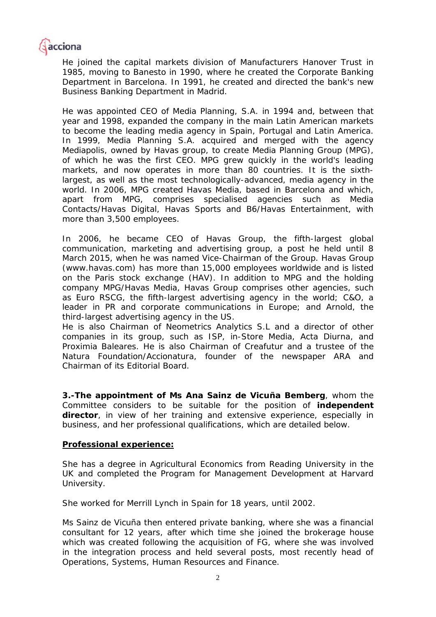

He joined the capital markets division of Manufacturers Hanover Trust in 1985, moving to Banesto in 1990, where he created the Corporate Banking Department in Barcelona. In 1991, he created and directed the bank's new Business Banking Department in Madrid.

He was appointed CEO of Media Planning, S.A. in 1994 and, between that year and 1998, expanded the company in the main Latin American markets to become the leading media agency in Spain, Portugal and Latin America. In 1999, Media Planning S.A. acquired and merged with the agency Mediapolis, owned by Havas group, to create Media Planning Group (MPG), of which he was the first CEO. MPG grew quickly in the world's leading markets, and now operates in more than 80 countries. It is the sixthlargest, as well as the most technologically-advanced, media agency in the world. In 2006, MPG created Havas Media, based in Barcelona and which, apart from MPG, comprises specialised agencies such as Media Contacts/Havas Digital, Havas Sports and B6/Havas Entertainment, with more than 3,500 employees.

In 2006, he became CEO of Havas Group, the fifth-largest global communication, marketing and advertising group, a post he held until 8 March 2015, when he was named Vice-Chairman of the Group. Havas Group (www.havas.com) has more than 15,000 employees worldwide and is listed on the Paris stock exchange (HAV). In addition to MPG and the holding company MPG/Havas Media, Havas Group comprises other agencies, such as Euro RSCG, the fifth-largest advertising agency in the world; C&O, a leader in PR and corporate communications in Europe; and Arnold, the third-largest advertising agency in the US.

He is also Chairman of Neometrics Analytics S.L and a director of other companies in its group, such as ISP, in-Store Media, Acta Diurna, and Proximia Baleares. He is also Chairman of Creafutur and a trustee of the Natura Foundation/Accionatura, founder of the newspaper ARA and Chairman of its Editorial Board.

**3.-The appointment of Ms Ana Sainz de Vicuña Bemberg**, whom the Committee considers to be suitable for the position of **independent director**, in view of her training and extensive experience, especially in business, and her professional qualifications, which are detailed below.

### **Professional experience:**

She has a degree in Agricultural Economics from Reading University in the UK and completed the Program for Management Development at Harvard University.

She worked for Merrill Lynch in Spain for 18 years, until 2002.

Ms Sainz de Vicuña then entered private banking, where she was a financial consultant for 12 years, after which time she joined the brokerage house which was created following the acquisition of FG, where she was involved in the integration process and held several posts, most recently head of Operations, Systems, Human Resources and Finance.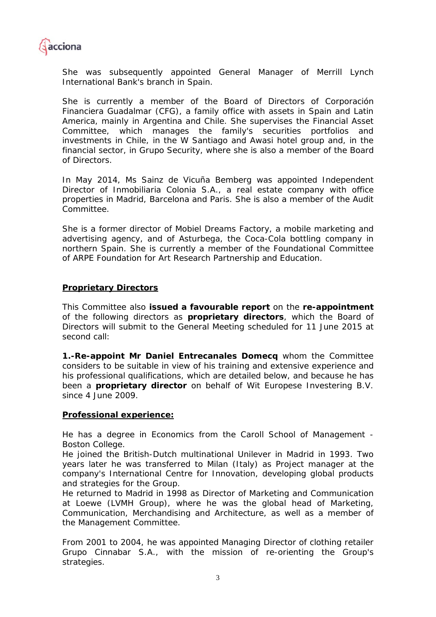

She was subsequently appointed General Manager of Merrill Lynch International Bank's branch in Spain.

She is currently a member of the Board of Directors of Corporación Financiera Guadalmar (CFG), a family office with assets in Spain and Latin America, mainly in Argentina and Chile. She supervises the Financial Asset Committee, which manages the family's securities portfolios and investments in Chile, in the W Santiago and Awasi hotel group and, in the financial sector, in Grupo Security, where she is also a member of the Board of Directors.

In May 2014, Ms Sainz de Vicuña Bemberg was appointed Independent Director of Inmobiliaria Colonia S.A., a real estate company with office properties in Madrid, Barcelona and Paris. She is also a member of the Audit Committee.

She is a former director of Mobiel Dreams Factory, a mobile marketing and advertising agency, and of Asturbega, the Coca-Cola bottling company in northern Spain. She is currently a member of the Foundational Committee of ARPE Foundation for Art Research Partnership and Education.

### **Proprietary Directors**

This Committee also **issued a favourable report** on the **re-appointment** of the following directors as **proprietary directors**, which the Board of Directors will submit to the General Meeting scheduled for 11 June 2015 at second call:

**1.-Re-appoint Mr Daniel Entrecanales Domecq** whom the Committee considers to be suitable in view of his training and extensive experience and his professional qualifications, which are detailed below, and because he has been a **proprietary director** on behalf of Wit Europese Investering B.V. since 4 June 2009.

#### **Professional experience:**

He has a degree in Economics from the Caroll School of Management - Boston College.

He joined the British-Dutch multinational Unilever in Madrid in 1993. Two years later he was transferred to Milan (Italy) as Project manager at the company's International Centre for Innovation, developing global products and strategies for the Group.

He returned to Madrid in 1998 as Director of Marketing and Communication at Loewe (LVMH Group), where he was the global head of Marketing, Communication, Merchandising and Architecture, as well as a member of the Management Committee.

From 2001 to 2004, he was appointed Managing Director of clothing retailer Grupo Cinnabar S.A., with the mission of re-orienting the Group's strategies.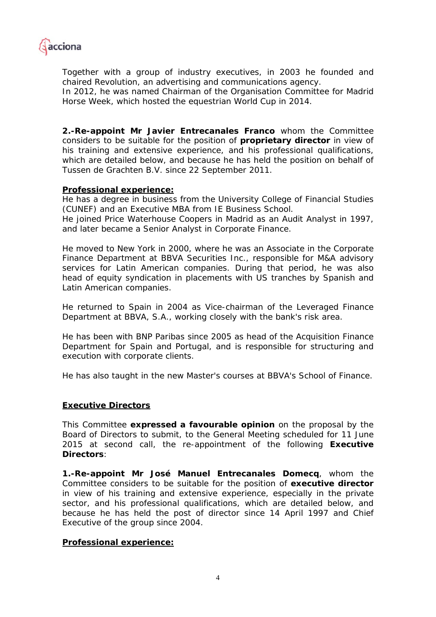

Together with a group of industry executives, in 2003 he founded and chaired Revolution, an advertising and communications agency.

In 2012, he was named Chairman of the Organisation Committee for Madrid Horse Week, which hosted the equestrian World Cup in 2014.

**2.-Re-appoint Mr Javier Entrecanales Franco** whom the Committee considers to be suitable for the position of **proprietary director** in view of his training and extensive experience, and his professional qualifications, which are detailed below, and because he has held the position on behalf of Tussen de Grachten B.V. since 22 September 2011.

### **Professional experience:**

He has a degree in business from the University College of Financial Studies (CUNEF) and an Executive MBA from IE Business School.

He joined Price Waterhouse Coopers in Madrid as an Audit Analyst in 1997, and later became a Senior Analyst in Corporate Finance.

He moved to New York in 2000, where he was an Associate in the Corporate Finance Department at BBVA Securities Inc., responsible for M&A advisory services for Latin American companies. During that period, he was also head of equity syndication in placements with US tranches by Spanish and Latin American companies.

He returned to Spain in 2004 as Vice-chairman of the Leveraged Finance Department at BBVA, S.A., working closely with the bank's risk area.

He has been with BNP Paribas since 2005 as head of the Acquisition Finance Department for Spain and Portugal, and is responsible for structuring and execution with corporate clients.

He has also taught in the new Master's courses at BBVA's School of Finance.

### **Executive Directors**

This Committee **expressed a favourable opinion** on the proposal by the Board of Directors to submit, to the General Meeting scheduled for 11 June 2015 at second call, the re-appointment of the following **Executive Directors**:

**1.-Re-appoint Mr José Manuel Entrecanales Domecq**, whom the Committee considers to be suitable for the position of **executive director** in view of his training and extensive experience, especially in the private sector, and his professional qualifications, which are detailed below, and because he has held the post of director since 14 April 1997 and Chief Executive of the group since 2004.

#### **Professional experience:**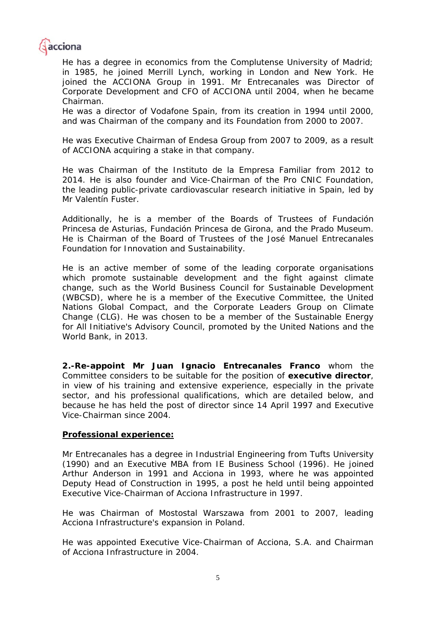

He has a degree in economics from the Complutense University of Madrid; in 1985, he joined Merrill Lynch, working in London and New York. He joined the ACCIONA Group in 1991. Mr Entrecanales was Director of Corporate Development and CFO of ACCIONA until 2004, when he became Chairman.

He was a director of Vodafone Spain, from its creation in 1994 until 2000, and was Chairman of the company and its Foundation from 2000 to 2007.

He was Executive Chairman of Endesa Group from 2007 to 2009, as a result of ACCIONA acquiring a stake in that company.

He was Chairman of the Instituto de la Empresa Familiar from 2012 to 2014. He is also founder and Vice-Chairman of the Pro CNIC Foundation, the leading public-private cardiovascular research initiative in Spain, led by Mr Valentín Fuster.

Additionally, he is a member of the Boards of Trustees of Fundación Princesa de Asturias, Fundación Princesa de Girona, and the Prado Museum. He is Chairman of the Board of Trustees of the José Manuel Entrecanales Foundation for Innovation and Sustainability.

He is an active member of some of the leading corporate organisations which promote sustainable development and the fight against climate change, such as the World Business Council for Sustainable Development (WBCSD), where he is a member of the Executive Committee, the United Nations Global Compact, and the Corporate Leaders Group on Climate Change (CLG). He was chosen to be a member of the Sustainable Energy for All Initiative's Advisory Council, promoted by the United Nations and the World Bank, in 2013.

**2.-Re-appoint Mr Juan Ignacio Entrecanales Franco** whom the Committee considers to be suitable for the position of **executive director**, in view of his training and extensive experience, especially in the private sector, and his professional qualifications, which are detailed below, and because he has held the post of director since 14 April 1997 and Executive Vice-Chairman since 2004.

### **Professional experience:**

Mr Entrecanales has a degree in Industrial Engineering from Tufts University (1990) and an Executive MBA from IE Business School (1996). He joined Arthur Anderson in 1991 and Acciona in 1993, where he was appointed Deputy Head of Construction in 1995, a post he held until being appointed Executive Vice-Chairman of Acciona Infrastructure in 1997.

He was Chairman of Mostostal Warszawa from 2001 to 2007, leading Acciona Infrastructure's expansion in Poland.

He was appointed Executive Vice-Chairman of Acciona, S.A. and Chairman of Acciona Infrastructure in 2004.